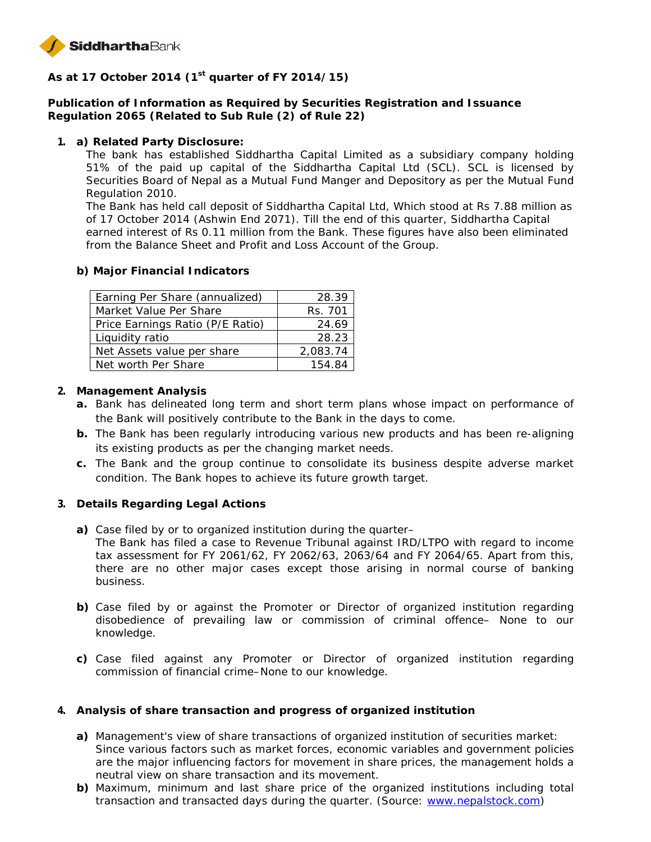

**As at 17 October 2014 (1st quarter of FY 2014/15)**

**Publication of Information as Required by Securities Registration and Issuance Regulation 2065 (Related to Sub Rule (2) of Rule 22)**

**1. a) Related Party Disclosure:**

The bank has established Siddhartha Capital Limited as a subsidiary company holding 51% of the paid up capital of the Siddhartha Capital Ltd (SCL). SCL is licensed by Securities Board of Nepal as a Mutual Fund Manger and Depository as per the Mutual Fund Regulation 2010.

The Bank has held call deposit of Siddhartha Capital Ltd, Which stood at Rs 7.88 million as of 17 October 2014 (Ashwin End 2071). Till the end of this quarter, Siddhartha Capital earned interest of Rs 0.11 million from the Bank. These figures have also been eliminated from the Balance Sheet and Profit and Loss Account of the Group.

**b) Major Financial Indicators**

| Earning Per Share (annualized)   | 28.39    |
|----------------------------------|----------|
| Market Value Per Share           | Rs. 701  |
| Price Earnings Ratio (P/E Ratio) | 24.69    |
| Liquidity ratio                  | 28.23    |
| Net Assets value per share       | 2,083.74 |
| Net worth Per Share              | 154.84   |

- **2. Management Analysis**
	- **a.** Bank has delineated long term and short term plans whose impact on performance of the Bank will positively contribute to the Bank in the days to come.
	- **b.** The Bank has been regularly introducing various new products and has been re-aligning its existing products as per the changing market needs.
	- **c.** The Bank and the group continue to consolidate its business despite adverse market condition. The Bank hopes to achieve its future growth target.
- **3. Details Regarding Legal Actions**
	- **a)** Case filed by or to organized institution during the quarter–
		- The Bank has filed a case to Revenue Tribunal against IRD/LTPO with regard to income tax assessment for FY 2061/62, FY 2062/63, 2063/64 and FY 2064/65. Apart from this, there are no other major cases except those arising in normal course of banking business.
	- **b)** Case filed by or against the Promoter or Director of organized institution regarding disobedience of prevailing law or commission of criminal offence– None to our knowledge.
	- **c)** Case filed against any Promoter or Director of organized institution regarding commission of financial crime–None to our knowledge.
- **4. Analysis of share transaction and progress of organized institution**
	- **a)** Management's view of share transactions of organized institution of securities market: Since various factors such as market forces, economic variables and government policies are the major influencing factors for movement in share prices, the management holds a neutral view on share transaction and its movement.
	- **b)** Maximum, minimum and last share price of the organized institutions including total transaction and transacted days during the quarter. (Source: www.nepalstock.com)